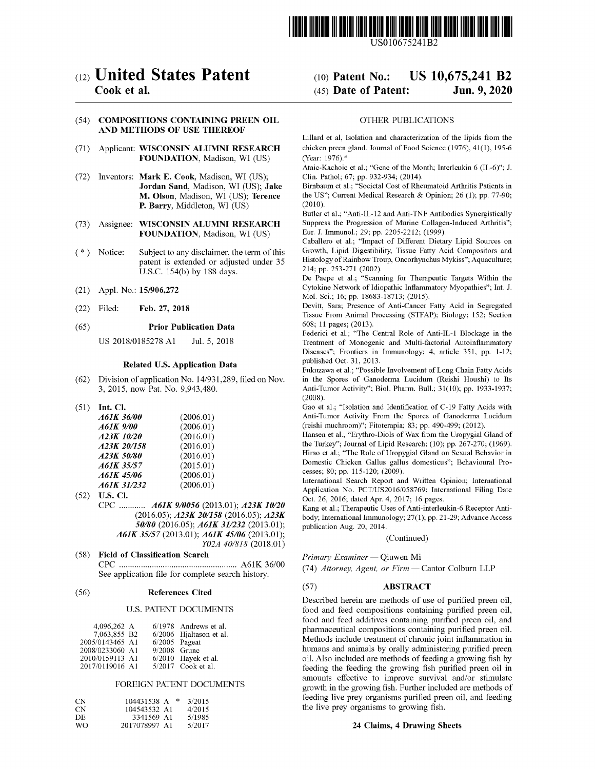

US010675241B2

# c12) **United States Patent**

## **Cook et al.**

#### (54) **COMPOSITIONS CONTAINING PREEN OIL AND METHODS OF USE THEREOF**

- (71) Applicant: **WISCONSIN ALUMNI RESEARCH FOUNDATION,** Madison, WI (US)
- (72) Inventors: **Mark E. Cook,** Madison, WI (US); **Jordan Sand,** Madison, WI (US); **Jake M. Olson,** Madison, WI (US); **Terence P. Barry,** Middleton, WI (US)
- (73) Assignee: **WISCONSIN ALUMNI RESEARCH FOUNDATION,** Madison, WI (US)
- ( \*) Notice: Subject to any disclaimer, the term ofthis patent is extended or adjusted under 35 U.S.C. 154(b) by 188 days.
- (21) Appl. No.: **15/906,272**
- (22) Feb. 27, 2018

#### (65) **Prior Publication Data**

US 2018/0185278 Al Jul. 5, 2018

#### **Related U.S. Application Data**

- (62) Division of application No. 14/931,289, filed on Nov. 3, 2015, now Pat. No. 9,943,480.
- (51) **Int. Cl.**

| A61K 36/00  | (2006.01) |
|-------------|-----------|
| A61K 9/00   | (2006.01) |
| A23K 10/20  | (2016.01) |
| A23K 20/158 | (2016.01) |
| A23K 50/80  | (2016.01) |
| A61K 35/57  | (2015.01) |
| A61K 45/06  | (2006.01) |
| A61K 31/232 | (2006.01) |

- (52) **U.S. Cl.**  CPC ............ **A61K 9/0056** (2013.01); **A23K 10/20** (2016.05); *A23K 201158* (2016.05); *A23K 50/80* (2016.05); *A61K 31/232* (2013.01); *A61K 35157* (2013.01); *A61K 45106* (2013.01); *Y02A 40/818* (2018.01)
- (58) **Field of Classification Search**  CPC ...................................................... A61K 36/00

See application file for complete search history.

#### (56) **References Cited**

#### U.S. PATENT DOCUMENTS

| 4.096.262 A     |                 | $6/1978$ Andrews et al. |
|-----------------|-----------------|-------------------------|
| 7,063,855 B2    |                 | 6/2006 Hjaltason et al. |
| 2005/0143465 A1 | $6/2005$ Pageat |                         |
| 2008/0233060 A1 | 9/2008 Grune    |                         |
| 2010/0159113 A1 |                 | 6/2010 Hayek et al.     |
| 2017/0119016 A1 |                 | 5/2017 Cook et al.      |

#### FOREIGN PATENT DOCUMENTS

| CN. | 104431538 A   | <b>SK</b> | 3/2015 |
|-----|---------------|-----------|--------|
| CN. | 104543532. A1 |           | 4/2015 |
| DE. | 3341569 A1    |           | 5/1985 |
| WΩ  | 2017078997 A1 |           | 5/2017 |

# (IO) **Patent No.: US 10,675,241 B2**  (45) **Date of Patent: Jun.9,2020**

#### OTHER PUBLICATIONS

Lillard et al, Isolation and characterization of the lipids from the chicken preen gland. Journal of Food Science (1976), 41(1), 195-6 (Year: 1976). \*

Ataie-Kachoie et al.; "Gene of the Month; Interleukin 6 (IL-6)"; J. Clin. Pathol; 67; pp. 932-934; (2014).

Birnbaum et al.; "Societal Cost of Rheumatoid Arthritis Patients in the US"; Current Medical Research & Opinion; 26 (l); pp. 77-90; (2010).

Butler et al.; "Anti-IL-12 and Anti-TNF Antibodies Synergistically Suppress the Progression of Murine Collagen-Induced Arthritis"; Eur. J. Immunol.; 29; pp. 2205-2212; (1999).

Caballero et al.; "Impact of Different Dietary Lipid Sources on Growth, Lipid Digestibility, Tissue Fatty Acid Compositors and Histology of Rainbow Troup, Oncorhynchus Mykiss"; Aquaculture; 214; pp. 253-271 (2002).

De Paepe et al.; "Scanning for Therapeutic Targets Within the Cytokine Network of Idiopathic Inflammatory Myopathies"; Int. J. Mo!. Sci.; 16; pp. 18683-18713; (2015).

Devitt, Sara; Presence of Anti-Cancer Fatty Acid in Segregated Tissue From Animal Processing (STFAP); Biology; 152; Section 608; 11 pages; (2013).

Federici et al.; "The Central Role of Anti-IL-1 Blockage in the Treatment of Monogenic and Multi-factorial Autoinflanunatory Diseases"; Frontiers in Immunology; 4, article 351, pp. 1-12; published Oct. 31, 2013.

Fukuzawa et al.; "Possible Involvement of Long Chain Fatty Acids in the Spores of Ganoderma Lucidum (Reishi Houshi) to Its Anti-Tumor Activity"; Biol. Pharm. Bull.; 31(10); pp. 1933-1937; (2008).

Gao et al.; "Isolation and Identification of C-19 Fatty Acids with Anti-Tumor Activity From the Spores of Ganoderma Lucidum (reishi muchroom)"; Fitoterapia; 83; pp. 490-499; (2012).

Hansen et al.; "Erythro-Diols of Wax from the Uropygial Gland of the Turkey"; Journal of Lipid Research; (10); pp. 267-270; (1969). Hirao et al.; "The Role of Uropygial Gland on Sexual Behavior in Domestic Chicken Gallus gallus domesticus"; Behavioural Processes; 80; pp. 115-120; (2009).

International Search Report and Written Opinion; International Application No. PCT/US2016/058769; International Filing Date Oct. 26, 2016; dated Apr. 4, 2017; 16 pages.

Kang et al.; Therapeutic Uses of Anti-interleukin-6 Receptor Antibody; International Immunology; 27(1); pp. 21-29; Advance Access publication Aug. 20, 2014.

#### (Continued)

 $Primary Examiner$  - Qiuwen Mi

(74) *Attorney, Agent, or Firm* - Cantor Colburn LLP

#### (57) **ABSTRACT**

Described herein are methods of use of purified preen oil, food and feed compositions containing purified preen oil, food and feed additives containing purified preen oil, and pharmaceutical compositions containing purified preen oil. Methods include treatment of chronic joint inflammation in humans and animals by orally administering purified preen oil. Also included are methods of feeding a growing fish by feeding the feeding the growing fish purified preen oil in amounts effective to improve survival and/or stimulate growth in the growing fish. Further included are methods of feeding live prey organisms purified preen oil, and feeding the live prey organisms to growing fish.

#### **24 Claims, 4 Drawing Sheets**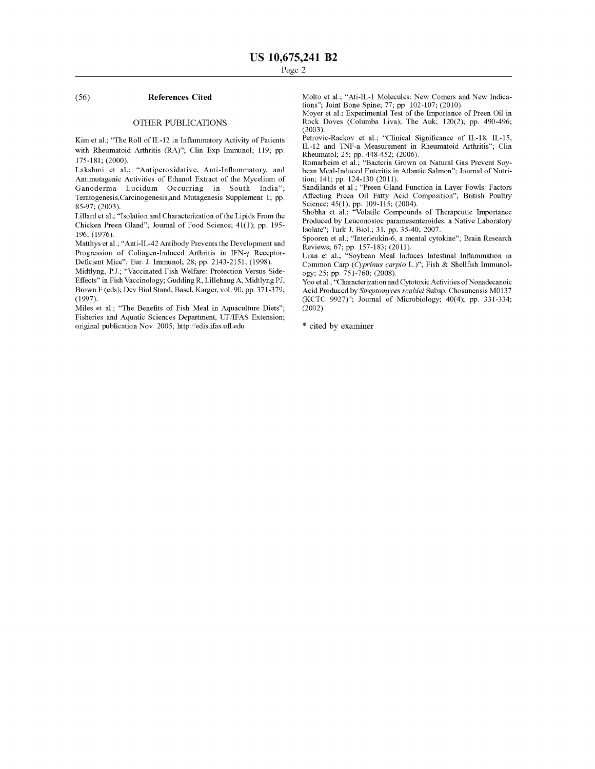#### (56) **References Cited**

#### OTHER PUBLICATIONS

Kim et al.; "The Roll of IL-12 in Inflammatory Activity of Patients with Rheumatoid Arthritis (RA)"; Clin Exp Immunol; 119; pp. 175-181; (2000).

Lakshmi et al.; "Antiperoxidative, Anti-Inflammatory, and Antimutagenic Activities of Ethanol Extract of the Mycelium of Ganoderma Lucidum Occurring in South India"; Teratogenesis,Carcinogenesis,and Mutagenesis Supplement l; pp. 85-97; (2003).

Lillard et al.; "Isolation and Characterization of the Lipids From the Chicken Preen Gland"; Journal of Food Science; 41(1); pp. 195- 196; (1976).

Matthys et al.; "Anti-IL-42 Antibody Prevents the Development and Progression of Coliagen-Induced Arthritis in IFN-y Receptor-Deficient Mice"; Eur. J. Immunol; 28; pp. 2143-2151; (1998).

Midtlyng, P.J.; "Vaccinated Fish Welfare: Protection Versus Side-Effects" in Fish Vaccinology; Gudding R, Lillehaug A, Midtlyng PJ, Brown F (eds); Dev Biol Stand, Basel, Karger, vol. 90; pp. 371-379; (1997).

Miles et al.; "The Benefits of Fish Meal in Aquaculture Diets"; Fisheries and Aquatic Sciences Department, UF/IFAS Extension; original publication Nov. 2005; http://edis.ifas.ufl.edu.

Molto et al.; "Ati-IL-1 Molecules: New Comers and New Indications"; Joint Bone Spine; 77; pp. 102-107; (2010).

Moyer et al.; Experimental Test of the Importance of Preen Oil in Rock Doves (Columba Liva); The Auk; 120(2); pp. 490-496;  $(2003)$ 

Petrovic-Rackov et al.; "Clinical Significance of IL-18, IL-15, IL-12 and TNF-a Measurement in Rheumatoid Arthritis"; Clin Rheumatol; 25; pp. 448-452; (2006).

Romarheim et al.; "Bacteria Grown on Natural Gas Prevent Soybean Meal-Induced Enteritis in Atlantic Salmon"; Journal of Nutrition; 141; pp. 124-130 (2011).

Sandilands et al.; "Preen Gland Function in Layer Fowls: Factors Affecting Preen Oil Fatty Acid Composition"; British Poultry Science; 45(1); pp. 109-115; (2004).

Shobha et al.; "Volatile Compounds of Therapeutic Importance Produced by Leuconostoc pararnesenteroides, a Native Laboratory Isolate"; Turk J. Biol.; 31, pp. 35-40; 2007.

Spooren et al.; "Interleukin-6, a mental cytokine"; Brain Research Reviews; 67; pp. 157-183; (2011).

Uran et al.; "Soybean Meal Induces Intestinal Inflammation in Common Carp *(Cyprinus carpio* L.)"; Fish & Shellfish Immunology; 25; pp. 751-760; (2008).

Yoo et al.; "Characterization and Cytotoxic Activities of Nonadecanoic Acid Produced by *Streptomyces scabiei* Subsp. Chosunensis M0137 (KCTC 9927)"; Journal of Microbiology; 40(4); pp. 331-334; (2002).

\* cited by examiner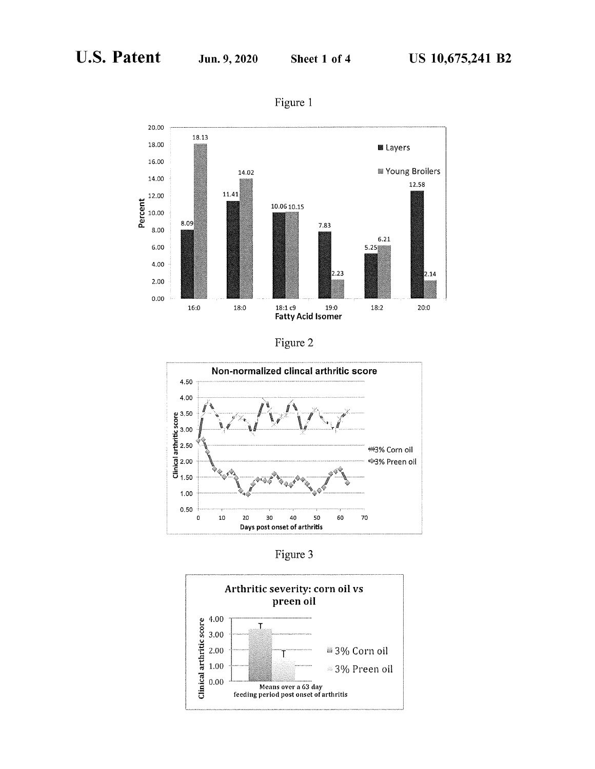

Figure 1





Figure 3

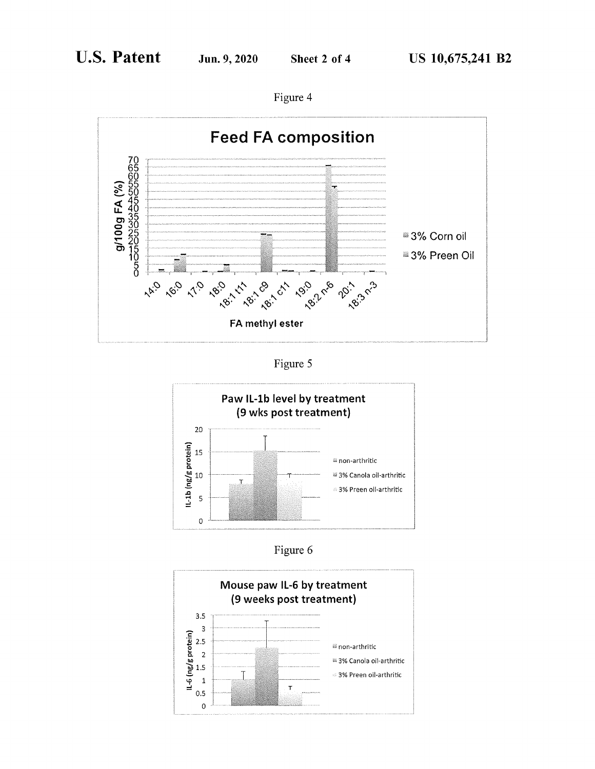



Figure 5



Figure 6

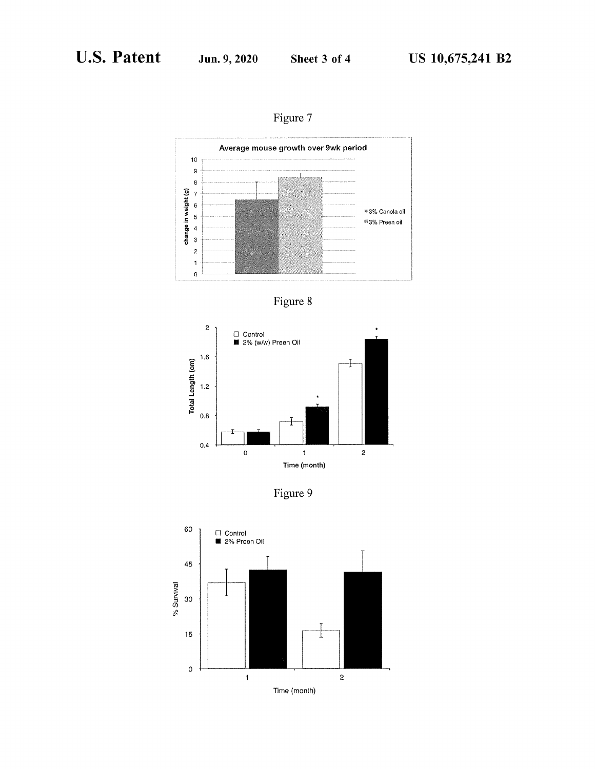Figure 7







Figure 9

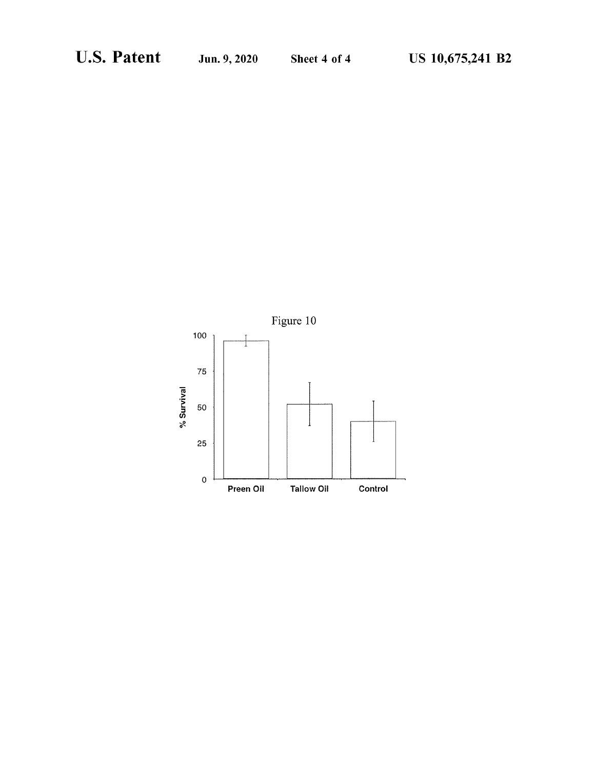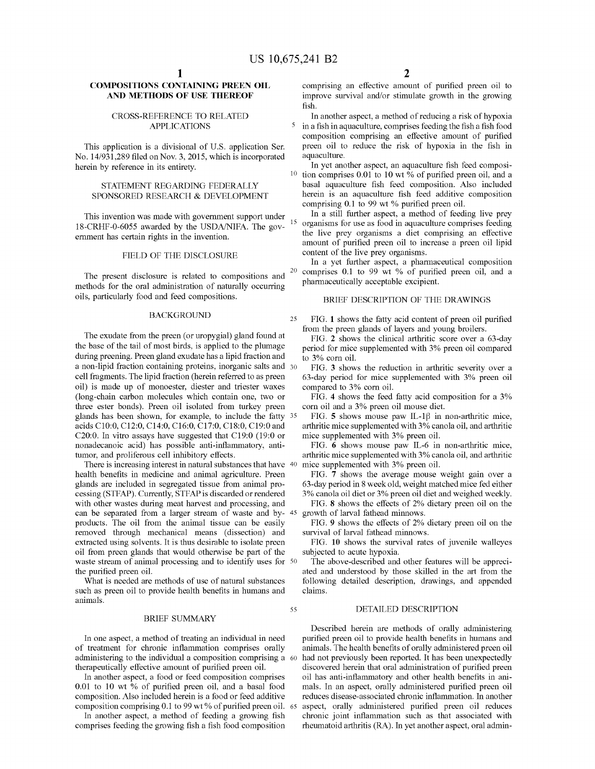### **COMPOSITIONS CONTAINING PREEN OIL AND METHODS OF USE THEREOF**

#### CROSS-REFERENCE TO RELATED APPLICATIONS

This application is a divisional of U.S. application Ser. No. 14/931,289 filed on Nov. 3, 2015, which is incorporated herein by reference in its entirety.

#### STATEMENT REGARDING FEDERALLY SPONSORED RESEARCH & DEVELOPMENT

This invention was made with government support under  $_{15}$ 18-CRHF-0-6055 awarded by the USDA/NIFA. The govermnent has certain rights in the invention.

### FIELD OF THE DISCLOSURE

The present disclosure is related to compositions and methods for the oral administration of naturally occurring oils, particularly food and feed compositions.

#### BACKGROUND

The exudate from the preen (or uropygial) gland found at the base of the tail of most birds, is applied to the plumage during preening. Preen gland exudate has a lipid fraction and a non-lipid fraction containing proteins, inorganic salts and 30 cell fragments. The lipid fraction (herein referred to as preen oil) is made up of monoester, diester and triester waxes (long-chain carbon molecules which contain one, two or three ester bonds). Preen oil isolated from turkey preen glands has been shown, for example, to include the fatty 35 acids C10:0, C12:0, C14:0, C16:0, C17:0, C18:0, C19:0 and C20:0. In vitro assays have suggested that C19:0 (19:0 or nonadecanoic acid) has possible anti-inflammatory, antitumor, and proliferous cell inhibitory effects.

There is increasing interest in natural substances that have 40 health benefits in medicine and animal agriculture. Preen glands are included in segregated tissue from animal processing (STFAP). Currently, STFAP is discarded or rendered with other wastes during meat harvest and processing, and can be separated from a larger stream of waste and byproducts. The oil from the animal tissue can be easily removed through mechanical means (dissection) and extracted using solvents. It is thus desirable to isolate preen oil from preen glands that would otherwise be part of the waste stream of animal processing and to identify uses for 50 the purified preen oil.

What is needed are methods of use of natural substances such as preen oil to provide health benefits in humans and animals.

#### BRIEF SUMMARY

In one aspect, a method of treating an individual in need of treatment for chronic inflammation comprises orally administering to the individual a composition comprising a therapeutically effective amount of purified preen oil.

In another aspect, a food or feed composition comprises 0.01 to 10 wt % of purified preen oil, and a basal food composition. Also included herein is a food or feed additive composition comprising 0.1 to 99 wt % of purified preen oil. 65

In another aspect, a method of feeding a growing fish comprises feeding the growing fish a fish food composition comprising an effective amount of purified preen oil to improve survival and/or stimulate growth in the growing fish.

In another aspect, a method of reducing a risk of hypoxia 5 in a fish in aquaculture, comprises feeding the fish a fish food composition comprising an effective amount of purified preen oil to reduce the risk of hypoxia in the fish in aquaculture.

In yet another aspect, an aquaculture fish feed composi-<sup>10</sup> tion comprises 0.01 to 10 wt  $\%$  of purified preen oil, and a basal aquaculture fish feed composition. Also included herein is an aquaculture fish feed additive composition comprising 0.1 to 99 wt % purified preen oil.

In a still further aspect, a method of feeding live prey organisms for use as food in aquaculture comprises feeding the live prey organisms a diet comprising an effective amount of purified preen oil to increase a preen oil lipid content of the live prey organisms.

In a yet further aspect, a pharmaceutical composition 20 comprises 0.1 to 99 wt % of purified preen oil, and a pharmaceutically acceptable excipient.

#### BRIEF DESCRIPTION OF THE DRAWINGS

25 FIG. **1** shows the fatty acid content of preen oil purified from the preen glands of layers and young broilers.

FIG. **2** shows the clinical arthritic score over a 63-day period for mice supplemented with 3% preen oil compared to 3% corn oil.

FIG. **3** shows the reduction in arthritic severity over a 63-day period for mice supplemented with 3% preen oil compared to 3% corn oil.

FIG. **4** shows the feed fatty acid composition for a 3% corn oil and a 3% preen oil mouse diet.

FIG. **5** shows mouse paw IL-1 $\beta$  in non-arthritic mice, arthritic mice supplemented with 3% canola oil, and arthritic mice supplemented with 3% preen oil.

FIG. **6** shows mouse paw IL-6 in non-arthritic mice, arthritic mice supplemented with 3% canola oil, and arthritic

FIG. **7** shows the average mouse weight gain over a 63-day period in 8 week old, weight matched mice fed either 3% canola oil diet or 3% preen oil diet and weighed weekly.

FIG. **8** shows the effects of 2% dietary preen oil on the growth of larval fathead minnows.

FIG. **9** shows the effects of 2% dietary preen oil on the survival of larval fathead minnows.

FIG. **10** shows the survival rates of juvenile walleyes subjected to acute hypoxia.

The above-described and other features will be appreciated and understood by those skilled in the art from the following detailed description, drawings, and appended claims.

### 55 DETAILED DESCRIPTION

Described herein are methods of orally administering purified preen oil to provide health benefits in humans and animals. The health benefits of orally administered preen oil had not previously been reported. It has been unexpectedly discovered herein that oral administration of purified preen oil has anti-inflammatory and other health benefits in animals. In an aspect, orally administered purified preen oil reduces disease-associated chronic inflammation. In another aspect, orally administered purified preen oil reduces chronic joint inflammation such as that associated with rheumatoid arthritis (RA). In yet another aspect, oral admin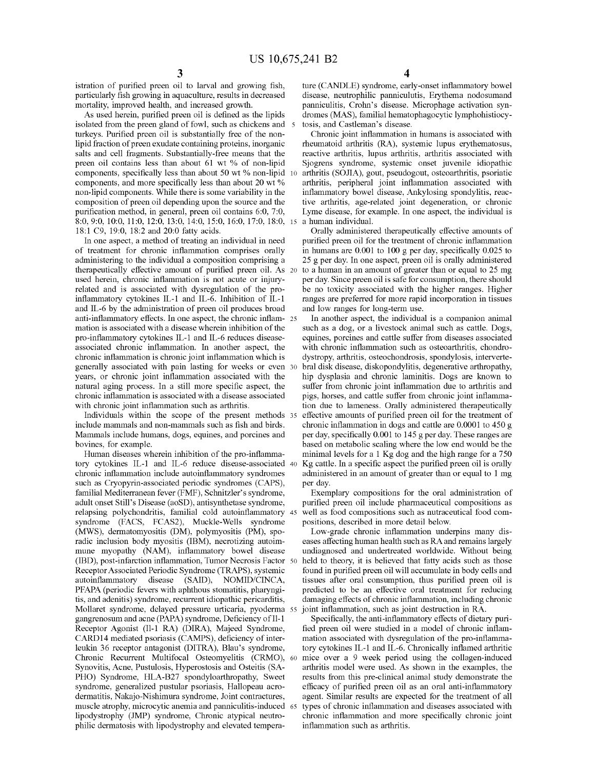istration of purified preen oil to larval and growing fish, particularly fish growing in aquaculture, results in decreased mortality, improved health, and increased growth.

As used herein, purified preen oil is defined as the lipids isolated from the preen gland of fowl, such as chickens and turkeys. Purified preen oil is substantially free of the nonlipid fraction of preen exudate containing proteins, inorganic salts and cell fragments. Substantially-free means that the preen oil contains less than about 61 wt % of non-lipid components, specifically less than about 50 wt % non-lipid components, and more specifically less than about 20 wt % non-lipid components. While there is some variability in the composition of preen oil depending upon the source and the purification method, in general, preen oil contains 6:0, 7:0, 8:0, 9:0, 10:0, 11:0, 12:0, 13:0, 14:0, 15:0, 16:0, 17:0, 18:0, 18:1 C9, 19:0, 18:2 and 20:0 fatty acids.

In one aspect, a method of treating an individual in need of treatment for chronic inflammation comprises orally administering to the individual a composition comprising a therapeutically effective amount of purified preen oil. As 20 used herein, chronic inflammation is not acute or injuryrelated and is associated with dysregulation of the proinflammatory cytokines IL-1 and IL-6. Inhibition of IL-1 and IL-6 by the administration of preen oil produces broad anti-inflammatory effects. In one aspect, the chronic inflam- 25 mation is associated with a disease wherein inhibition of the pro-inflammatory cytokines IL-1 and IL-6 reduces diseaseassociated chronic inflammation. In another aspect, the chronic inflammation is chronic joint inflammation which is generally associated with pain lasting for weeks or even 30 years, or chronic joint inflammation associated with the natural aging process. In a still more specific aspect, the chronic inflammation is associated with a disease associated with chronic joint inflammation such as arthritis.

Individuals within the scope of the present methods 35 include mammals and non-mammals such as fish and birds. Mammals include humans, dogs, equines, and porcines and bovines, for example.

Human diseases wherein inhibition of the pro-inflammatory cytokines IL-1 and IL-6 reduce disease-associated 40 chronic inflammation include autoinflammatory syndromes such as Cryopyrin-associated periodic syndromes (CAPS), familial Mediterranean fever (FMF), Schnitzler's syndrome, adult onset Still's Disease (aoSD), antisynthetase syndrome, relapsing polychondritis, familial cold autoinflammatory syndrome (FACS, FCAS2), Muckle-Wells syndrome (MWS), dermatomyositis (DM), polymyositis (PM), sporadic inclusion body myositis (IBM), necrotizing autoimmune myopathy (NAM), inflammatory bowel disease (IBD), post-infarction inflammation, Tumor Necrosis Factor Receptor Associated Periodic Syndrome (TRAPS), systemic autoinflammatory disease (SAID), NOMID/CINCA, PFAPA (periodic fevers with aphthous stomatitis, pharyngitis, and adenitis) syndrome, recurrent idiopathic pericarditis, Mollaret syndrome, delayed pressure urticaria, pyoderma gangrenosum and acne (PAPA) syndrome, Deficiency of Il-1 Receptor Agonist (Il-1 RA) (DIRA), Majeed Syndrome, CARD14 mediated psoriasis (CAMPS), deficiency of interleukin 36 receptor antagonist (DITRA), Blau's syndrome, Chronic Recurrent Multifocal Osteomyelitis (CRMO), Synovitis, Acne, Pustulosis, Hyperostosis and Osteitis (SA-PHO) Syndrome, HLA-B27 spondyloarthropathy, Sweet syndrome, generalized pustular psoriasis, Hallopeau acrodermatitis, Nakajo-Nishimura syndrome, Joint contractures, muscle atrophy, microcytic anemia and panniculitis-induced lipodystrophy (JMP) syndrome, Chronic atypical neutrophilic dermatosis with lipodystrophy and elevated tempera-

ture (CANDLE) syndrome, early-onset inflammatory bowel disease, neutrophilic panniculutis, Erythema nodosumand panniculitis, Crohn's disease. Microphage activation syndromes **(MAS),** familial hematophagocytic lymphohistiocytosis, and Castleman's disease.

Chronic joint inflammation in humans is associated with rheumatoid arthritis **(RA),** systemic lupus erythematosus, reactive arthritis, lupus arthritis, arthritis associated with Sjogrens syndrome, systemic onset juvenile idiopathic 10 arthritis (SOJIA), gout, pseudogout, osteoarthritis, psoriatic arthritis, peripheral joint inflammation associated with inflammatory bowel disease, Ankylosing spondylitis, reactive arthritis, age-related joint degeneration, or chronic Lyme disease, for example. In one aspect, the individual is a human individual.

Orally administered therapeutically effective amounts of purified preen oil for the treatment of chronic inflammation in humans are 0.001 to 100 g per day, specifically 0.025 to 25 g per day. In one aspect, preen oil is orally administered to a human in an amount of greater than or equal to 25 mg per day. Since preen oil is safe for consumption, there should be no toxicity associated with the higher ranges. Higher ranges are preferred for more rapid incorporation in tissues and low ranges for long-term use.

In another aspect, the individual is a companion animal such as a dog, or a livestock animal such as cattle. Dogs, equines, porcines and cattle suffer from diseases associated with chronic inflammation such as osteoarthritis, chondrodystropy, arthritis, osteochondrosis, spondylosis, intervertebral disk disease, diskopondylitis, degenerative arthropathy, hip dysplasia and chronic laminitis. Dogs are known to suffer from chronic joint inflammation due to arthritis and pigs, horses, and cattle suffer from chronic joint inflammation due to lameness. Orally administered therapeutically effective amounts of purified preen oil for the treatment of chronic inflammation in dogs and cattle are 0.0001 to 450 g per day, specifically 0.001 to 145 g per day. These ranges are based on metabolic scaling where the low end would be the minimal levels for a 1 Kg dog and the high range for a 750 Kg cattle. In a specific aspect the purified preen oil is orally administered in an amount of greater than or equal to 1 mg per day.

Exemplary compositions for the oral administration of purified preen oil include pharmaceutical compositions as well as food compositions such as nutraceutical food compositions, described in more detail below.

Low-grade chronic inflammation underpins many diseases affecting human health such as RA and remains largely undiagnosed and undertreated worldwide. Without being held to theory, it is believed that fatty acids such as those found in purified preen oil will accumulate in body cells and tissues after oral consumption, thus purified preen oil is predicted to be an effective oral treatment for reducing damaging effects of chronic inflammation, including chronic joint inflammation, such as joint destruction in RA.

Specifically, the anti-inflammatory effects of dietary purified preen oil were studied in a model of chronic inflammation associated with dysregulation of the pro-inflammatory cytokines IL-1 and IL-6. Chronically inflamed arthritic mice over a 9 week period using the collagen-induced arthritis model were used. As shown in the examples, the results from this pre-clinical animal study demonstrate the efficacy of purified preen oil as an oral anti-inflammatory agent. Similar results are expected for the treatment of all types of chronic inflammation and diseases associated with chronic inflammation and more specifically chronic joint inflammation such as arthritis.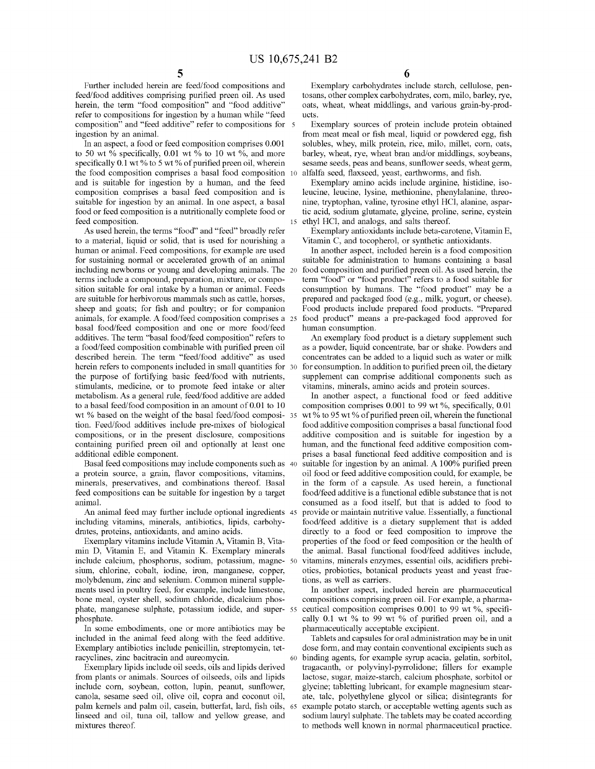Further included herein are feed/food compositions and feed/food additives comprising purified preen oil. As used herein, the term "food composition" and "food additive" refer to compositions for ingestion by a human while "feed composition" and "feed additive" refer to compositions for 5 ingestion by an animal.

In an aspect, a food or feed composition comprises 0.001 to 50 wt % specifically, 0.01 wt % to 10 wt %, and more specifically  $0.1$  wt % to 5 wt % of purified preen oil, wherein the food composition comprises a basal food composition 10 and is suitable for ingestion by a human, and the feed composition comprises a basal feed composition and is suitable for ingestion by an animal. In one aspect, a basal food or feed composition is a nutritionally complete food or feed composition. 15 ethyl HCl, and analogs, and salts thereof.

to a material, liquid or solid, that is used for nourishing a human or animal. Feed compositions, for example are used for sustaining normal or accelerated growth of an animal including newborns or young and developing animals. The 20 terms include a compound, preparation, mixture, or composition suitable for oral intake by a human or animal. Feeds are suitable for herbivorous mammals such as cattle, horses, sheep and goats; for fish and poultry; or for companion animals, for example. A food/feed composition comprises a 25 basal food/feed composition and one or more food/feed additives. The term "basal food/feed composition" refers to An exemplary food product is a dietary supplement such a food/feed composition combinable with purified preen oil described herein. The term "feed/food additive" as used herein refers to components included in small quantities for 30 the purpose of fortifying basic feed/food with nutrients, stimulants, medicine, or to promote feed intake or alter metabolism. As a general rule, feed/food additive are added to a basal feed/food composition in an amount of 0.01 to 10 wt % based on the weight of the basal feed/food composition. Feed/food additives include pre-mixes of biological compositions, or in the present disclosure, compositions containing purified preen oil and optionally at least one additional edible component.

Basal feed compositions may include components such as 40 a protein source, a grain, flavor compositions, vitamins, minerals, preservatives, and combinations thereof. Basal feed compositions can be suitable for ingestion by a target animal.

An animal feed may further include optional ingredients 45 including vitamins, minerals, antibiotics, lipids, carbohydrates, proteins, antioxidants, and amino acids.

Exemplary vitamins include Vitamin A, Vitamin B, Vitamin D, Vitamin E, and Vitamin K. Exemplary minerals include calcium, phosphorus, sodium, potassium, magnesium, chlorine, cobalt, iodine, iron, manganese, copper, molybdenum, zinc and selenium. Common mineral supplements used in poultry feed, for example, include limestone, bone meal, oyster shell, sodium chloride, dicalcium phosphate, manganese sulphate, potassium iodide, and superphosphate.

In some embodiments, one or more antibiotics may be included in the animal feed along with the feed additive. Exemplary antibiotics include penicillin, streptomycin, tetracyclines, zinc bacitracin and aureomycin.

Exemplary lipids include oil seeds, oils and lipids derived from plants or animals. Sources of oilseeds, oils and lipids include corn, soybean, cotton, lupin, peanut, sunflower, canola, sesame seed oil, olive oil, copra and coconut oil, palm kernels and palm oil, casein, butterfat, lard, fish oils, linseed and oil, tuna oil, tallow and yellow grease, and mixtures thereof.

Exemplary carbohydrates include starch, cellulose, pentosans, other complex carbohydrates, corn, milo, barley, rye, oats, wheat, wheat middlings, and various grain-by-products.

Exemplary sources of protein include protein obtained from meat meal or fish meal, liquid or powdered egg, fish solubles, whey, milk protein, rice, milo, millet, corn, oats, barley, wheat, rye, wheat bran and/or middlings, soybeans, sesame seeds, peas and beans, sunflower seeds, wheat germ, alfalfa seed, flaxseed, yeast, earthworms, and fish.

Exemplary amino acids include arginine, histidine, isoleucine, leucine, lysine, methionine, phenylalanine, threonine, tryptophan, valine, tyrosine ethyl HCl, alanine, aspartic acid, sodium glutamate, glycine, praline, serine, cystein

As used herein, the terms "food" and "feed" broadly refer Exemplary antioxidants include beta-carotene, Vitamin E, Vitamin C, and tocopherol, or synthetic antioxidants.

> In another aspect, included herein is a food composition suitable for administration to humans containing a basal food composition and purified preen oil. As used herein, the term "food" or "food product" refers to a food suitable for consumption by humans. The "food product" may be a prepared and packaged food (e.g., milk, yogurt, or cheese). Food products include prepared food products. "Prepared food product" means a pre-packaged food approved for human consumption.

> as a powder, liquid concentrate, bar or shake. Powders and concentrates can be added to a liquid such as water or milk for consumption. In addition to purified preen oil, the dietary supplement can comprise additional components such as vitamins, minerals, amino acids and protein sources.

> In another aspect, a functional food or feed additive composition comprises 0.001 to 99 wt %, specifically, 0.01 wt% to 95 wt% of purified preen oil, wherein the functional food additive composition comprises a basal functional food additive composition and is suitable for ingestion by a human, and the functional feed additive composition comprises a basal functional feed additive composition and is suitable for ingestion by an animal. A 100% purified preen oil food or feed additive composition could, for example, be in the form of a capsule. As used herein, a functional food/feed additive is a functional edible substance that is not consumed as a food itself, but that is added to food to provide or maintain nutritive value. Essentially, a functional food/feed additive is a dietary supplement that is added directly to a food or feed composition to improve the properties of the food or feed composition or the health of the animal. Basal functional food/feed additives include, vitamins, minerals enzymes, essential oils, acidifiers prebiotics, probiotics, botanical products yeast and yeast fractions, as well as carriers.

> In another aspect, included herein are pharmaceutical compositions comprising preen oil. For example, a pharmaceutical composition comprises 0.001 to 99 wt %, specifically 0.1 wt % to 99 wt % of purified preen oil, and a pharmaceutically acceptable excipient.

Tablets and capsules for oral administration may be in unit dose form, and may contain conventional excipients such as 60 binding agents, for example syrup acacia, gelatin, sorbitol, tragacanth, or polyvinyl-pyrrolidone; fillers for example lactose, sugar, maize-starch, calcium phosphate, sorbitol or glycine; tabletting lubricant, for example magnesium stearate, talc, polyethylene glycol or silica; disintegrants for example potato starch, or acceptable wetting agents such as sodium lauryl sulphate. The tablets may be coated according to methods well known in normal pharmaceutical practice.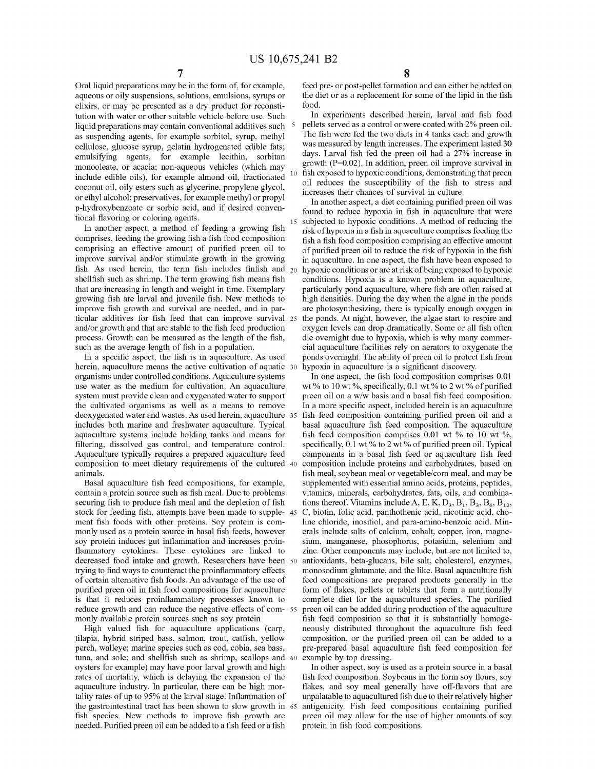Oral liquid preparations may be in the form of, for example, aqueous or oily suspensions, solutions, emulsions, syrups or elixirs, or may be presented as a dry product for reconstitution with water or other suitable vehicle before use. Such liquid preparations may contain conventional additives such as suspending agents, for example sorbitol, syrup, methyl cellulose, glucose syrup, gelatin hydrogenated edible fats; emulsifying agents, for example lecithin, sorbitan monooleate, or acacia; non-aqueous vehicles (which may include edible oils), for example almond oil, fractionated coconut oil, oily esters such as glycerine, propylene glycol, or ethyl alcohol; preservatives, for example methyl or propyl p-hydroxybenzoate or sorbic acid, and if desired conventional flavoring or coloring agents.

In another aspect, a method of feeding a growing fish comprises, feeding the growing fish a fish food composition comprising an effective amount of purified preen oil to improve survival and/or stimulate growth in the growing fish. As used herein, the term fish includes finfish and  $_{20}$ shellfish such as shrimp. The term growing fish means fish that are increasing in length and weight in time. Exemplary growing fish are larval and juvenile fish. New methods to improve fish growth and survival are needed, and in particular additives for fish feed that can improve survival and/or growth and that are stable to the fish feed production process. Growth can be measured as the length of the fish, such as the average length of fish in a population.

In a specific aspect, the fish is in aquaculture. As used herein, aquaculture means the active cultivation of aquatic 30 organisms under controlled conditions. Aquaculture systems use water as the medium for cultivation. An aquaculture system must provide clean and oxygenated water to support the cultivated organisms as well as a means to remove deoxygenated water and wastes. As used herein, aquaculture includes both marine and freshwater aquaculture. Typical aquaculture systems include holding tanks and means for filtering, dissolved gas control, and temperature control. Aquaculture typically requires a prepared aquaculture feed composition to meet dietary requirements of the cultured animals.

Basal aquaculture fish feed compositions, for example, contain a protein source such as fish meal. Due to problems securing fish to produce fish meal and the depletion of fish stock for feeding fish, attempts have been made to supplement fish foods with other proteins. Soy protein is commonly used as a protein source in basal fish feeds, however soy protein induces gut inflammation and increases proinflammatory cytokines. These cytokines are linked to decreased food intake and growth. Researchers have been trying to find ways to counteract the proinflammatory effects of certain alternative fish foods. An advantage of the use of purified preen oil in fish food compositions for aquaculture is that it reduces proinflammatory processes known to reduce growth and can reduce the negative effects of commonly available protein sources such as soy protein

High valued fish for aquaculture applications (carp, tilapia, hybrid striped bass, salmon, trout, catfish, yellow perch, walleye; marine species such as cod, cobia, sea bass, tuna, and sole; and shellfish such as shrimp, scallops and 60 oysters for example) may have poor larval growth and high rates of mortality, which is delaying the expansion of the aquaculture industry. In particular, there can be high mortality rates of up to 95% at the larval stage. Inflammation of the gastrointestinal tract has been shown to slow growth in fish species. New methods to improve fish growth are needed. Purified preen oil can be added to a fish feed or a fish

feed pre- or post-pellet formation and can either be added on the diet or as a replacement for some of the lipid in the fish food.

In experiments described herein, larval and fish food pellets served as a control or were coated with 2% preen oil. The fish were fed the two diets in 4 tanks each and growth was measured by length increases. The experiment lasted 30 days. Larval fish fed the preen oil had a 27% increase in growth  $(P=0.02)$ . In addition, preen oil improve survival in fish exposed to hypoxic conditions, demonstrating that preen oil reduces the susceptibility of the fish to stress and increases their chances of survival in culture.

In another aspect, a diet containing purified preen oil was found to reduce hypoxia in fish in aquaculture that were subjected to hypoxic conditions. A method of reducing the risk of hypoxia in a fish in aquaculture comprises feeding the fish a fish food composition comprising an effective amount of purified preen oil to reduce the risk of hypoxia in the fish in aquaculture. In one aspect, the fish have been exposed to hypoxic conditions or are at risk of being exposed to hypoxic conditions. Hypoxia is a known problem in aquaculture, particularly pond aquaculture, where fish are often raised at high densities. During the day when the algae in the ponds are photosynthesizing, there is typically enough oxygen in the ponds. At night, however, the algae start to respire and oxygen levels can drop dramatically. Some or all fish often die overnight due to hypoxia, which is why many commercial aquaculture facilities rely on aerators to oxygenate the ponds overnight. The ability of preen oil to protect fish from hypoxia in aquaculture is a significant discovery.

In one aspect, the fish food composition comprises 0.01 wt% to 10 wt%, specifically, 0.1 wt% to 2 wt% of purified preen oil on a w/w basis and a basal fish feed composition. In a more specific aspect, included herein is an aquaculture fish feed composition containing purified preen oil and a basal aquaculture fish feed composition. The aquaculture fish feed composition comprises 0.01 wt % to 10 wt %, specifically, 0.1 wt% to 2 wt% of purified preen oil. Typical components in a basal fish feed or aquaculture fish feed composition include proteins and carbohydrates, based on fish meal, soybean meal or vegetable/com meal, and may be supplemented with essential amino acids, proteins, peptides, vitamins, minerals, carbohydrates, fats, oils, and combinations thereof. Vitamins include A, E, K,  $D_3$ ,  $B_1$ ,  $B_3$ ,  $B_6$ ,  $B_{12}$ , C, biotin, folic acid, panthothenic acid, nicotinic acid, choline chloride, inositiol, and para-amino-benzoic acid. Minerals include salts of calcium, cobalt, copper, iron, magnesium, manganese, phosophorus, potasium, selenium and zinc. Other components may include, but are not limited to, antioxidants, beta-glucans, bile salt, cholesterol, enzymes, monosodium glutamate, and the like. Basal aquaculture fish feed compositions are prepared products generally in the form of flakes, pellets or tablets that form a nutritionally complete diet for the aquacultured species. The purified preen oil can be added during production of the aquaculture fish feed composition so that it is substantially homogeneously distributed throughout the aquaculture fish feed composition, or the purified preen oil can be added to a pre-prepared basal aquaculture fish feed composition for example by top dressing.

In other aspect, soy is used as a protein source in a basal fish feed composition. Soybeans in the form soy flours, soy flakes, and soy meal generally have off-flavors that are unpalatable to aquacultured fish due to their relatively higher antigenicity. Fish feed compositions containing purified preen oil may allow for the use of higher amounts of soy protein in fish food compositions.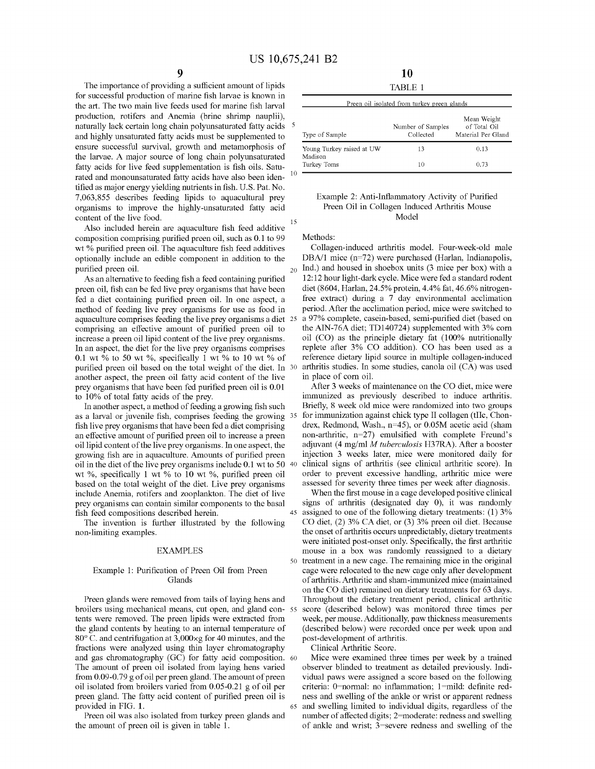The importance of providing a sufficient amount of lipids for successful production of marine fish larvae is known in the art. The two main live feeds used for marine fish larval production, rotifers and Anemia (brine shrimp nauplii), naturally lack certain long chain polyunsaturated fatty acids <sup>5</sup> and highly unsaturated fatty acids must be supplemented to ensure successful survival, growth and metamorphosis of the larvae. A major source of long chain polyunsaturated fatty acids for live feed supplementation is fish oils. Saturated and monounsaturated fatty acids have also been identified as major energy yielding nutrients in fish. U.S. Pat. No. 7,063,855 describes feeding lipids to aquacultural prey organisms to improve the highly-unsaturated fatty acid content of the live food. 15

Also included herein are aquaculture fish feed additive composition comprising purified preen oil, such as 0.1 to 99 wt % purified preen oil. The aquaculture fish feed additives optionally include an edible component in addition to the purified preen oil.  $_{20}$  Ind.) and housed in shoebox units (3 mice per box) with a

As an alternative to feeding fish a feed containing purified preen oil, fish can be fed live prey organisms that have been fed a diet containing purified preen oil. In one aspect, a method of feeding live prey organisms for use as food in aquaculture comprises feeding the live prey organisms a diet 25 comprising an effective amount of purified preen oil to increase a preen oil lipid content of the live prey organisms. In an aspect, the diet for the live prey organisms comprises 0.1 wt % to 50 wt %, specifically 1 wt % to 10 wt % of purified preen oil based on the total weight of the diet. In 30 another aspect, the preen oil fatty acid content of the live prey organisms that have been fed purified preen oil is 0.01 to 10% of total fatty acids of the prey.

In another aspect, a method of feeding a growing fish such as a larval or juvenile fish, comprises feeding the growing 35 fish live prey organisms that have been fed a diet comprising an effective amount of purified preen oil to increase a preen oil lipid content of the live prey organisms. In one aspect, the growing fish are in aquaculture. Amounts of purified preen oil in the diet of the live prey organisms include 0.1 wt to 50 40 wt %, specifically 1 wt % to 10 wt %, purified preen oil based on the total weight of the diet. Live prey organisms include Anemia, rotifers and zooplankton. The diet of live prey organisms can contain similar components to the basal fish feed compositions described herein. 45 assigned to one of the following dietary treatments: (1) 3%

The invention is further illustrated by the following non-limiting examples.

#### EXAMPLES

#### Example 1: Purification of Preen Oil from Preen Glands

broilers using mechanical means, cut open, and gland contents were removed. The preen lipids were extracted from the gland contents by heating to an internal temperature of 80° C. and centrifugation at 3,000xg for 40 minutes, and the fractions were analyzed using thin layer chromatography and gas chromatography (GC) for fatty acid composition. 60 The amount of preen oil isolated from laying hens varied from 0.09-0. 79 g of oil per preen gland. The amount of preen oil isolated from broilers varied from 0.05-0.21 g of oil per preen gland. The fatty acid content of purified preen oil is provided in FIG. **1.** 

Preen oil was also isolated from turkey preen glands and the amount of preen oil is given in table 1.

| 10      |  |
|---------|--|
| TABLE 1 |  |

|                                      | Preen oil isolated from turkey preen glands |                                                   |
|--------------------------------------|---------------------------------------------|---------------------------------------------------|
| Type of Sample                       | Number of Samples<br>Collected              | Mean Weight<br>of Total Oil<br>Material Per Gland |
| Young Turkey raised at UW<br>Madison | 13                                          | 0.13                                              |
| Turkey Toms                          | 10                                          | 0.73                                              |

#### Example 2: Anti-Inflammatory Activity of Purified Preen Oil in Collagen Induced Arthritis Mouse Model

Methods:

Collagen-induced arthritis model. Four-week-old male DBA/1 mice (n=72) were purchased (Harlan, Indianapolis, 12: 12 hour light-dark cycle. Mice were fed a standard rodent diet (8604, Harlan, 24.5% protein, 4.4% fat, 46.6% nitrogenfree extract) during a 7 day environmental acclimation period. After the acclimation period, mice were switched to a 97% complete, casein-based, semi-purified diet (based on the AIN-76A diet; TD140724) supplemented with 3% corn oil (CO) as the principle dietary fat (100% nutritionally replete after 3% CO addition). CO has been used as a reference dietary lipid source in multiple collagen-induced arthritis studies. In some studies, canola oil (CA) was used in place of corn oil.

After 3 weeks of maintenance on the CO diet, mice were immunized as previously described to induce arthritis. Briefly, 8 week old mice were randomized into two groups for immunization against chick type II collagen (tIIc, Chondrex, Redmond, Wash., n=45), or 0.05M acetic acid (sham non-arthritic, n=27) emulsified with complete Freund's adjuvant (4 mg/ml *M tuberculosis* H37RA). After a booster injection 3 weeks later, mice were monitored daily for clinical signs of arthritis (see clinical arthritic score). In order to prevent excessive handling, arthritic mice were assessed for severity three times per week after diagnosis.

When the first mouse in a cage developed positive clinical signs of arthritis (designated day 0), it was randomly CO diet, (2) 3% CA diet, or (3) 3% preen oil diet. Because the onset of arthritis occurs unpredictably, dietary treatments were initiated post-onset only. Specifically, the first arthritic mouse in a box was randomly reassigned to a dietary 50 treatment in a new cage. The remaining mice in the original cage were relocated to the new cage only after development of arthritis. Arthritic and sham-immunized mice (maintained on the CO diet) remained on dietary treatments for 63 days. Preen glands were removed from tails of laying hens and Throughout the dietary treatment period, clinical arthritic score (described below) was monitored three times per week, per mouse. Additionally, paw thickness measurements (described below) were recorded once per week upon and post-development of arthritis.

Clinical Arthritic Score.

Mice were examined three times per week by a trained observer blinded to treatment as detailed previously. Individual paws were assigned a score based on the following criteria: 0=normal: no inflammation; 1=mild: definite redness and swelling of the ankle or wrist or apparent redness 65 and swelling limited to individual digits, regardless of the number of affected digits; 2=moderate: redness and swelling of ankle and wrist; 3=severe redness and swelling of the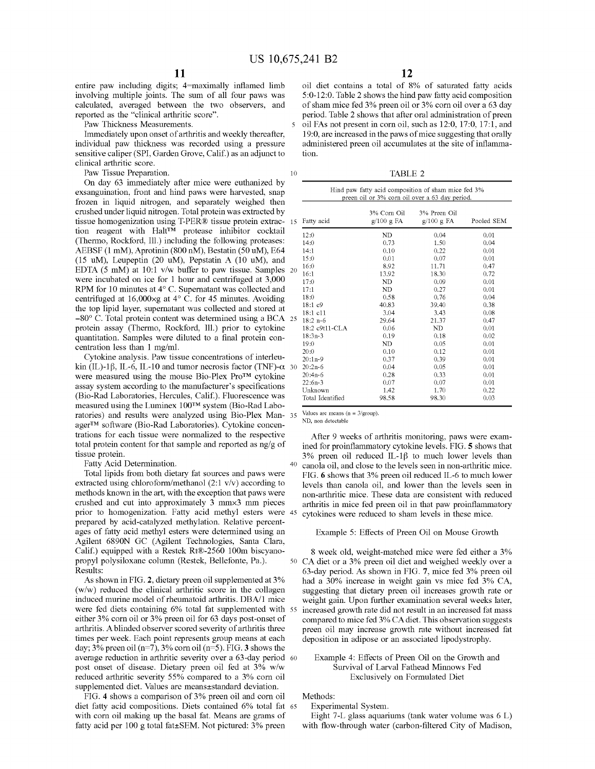entire paw including digits; 4=maximally inflamed limb involving multiple joints. The sum of all four paws was calculated, averaged between the two observers, and reported as the "clinical arthritic score".

Paw Thickness Measurements.

Immediately upon onset of arthritis and weekly thereafter, individual paw thickness was recorded using a pressure sensitive caliper (SPI, Garden Grove, Calif.) as an adjunct to clinical arthritic score.

Paw Tissue Preparation.

On day 63 immediately after mice were euthanized by exsanguination, front and hind paws were harvested, snap frozen in liquid nitrogen, and separately weighed then crushed under liquid nitrogen. Total protein was extracted by tissue homogenization using T-PER® tissue protein extraction reagent with Halt™ protease inhibitor cocktail (Thermo, Rockford, Ill.) including the following proteases: AEBSF (1 mM), Aprotinin (800 nM), Bestatin (50 uM), E64 (15 uM), Leupeptin (20 uM), Pepstatin A (10 uM), and EDTA (5 mM) at  $10:1$  v/w buffer to paw tissue. Samples  $20$ were incubated on ice for 1 hour and centrifuged at 3,000 RPM for 10 minutes at 4° C. Supernatant was collected and centrifuged at 16,000 $\times$ g at 4° C. for 45 minutes. Avoiding the top lipid layer, supernatant was collected and stored at  $-80^{\circ}$  C. Total protein content was determined using a BCA 25 protein assay (Thermo, Rockford, Ill.) prior to cytokine quantitation. Samples were diluted to a final protein concentration less than 1 mg/ml.

Cytokine analysis. Paw tissue concentrations of interleukin (IL)-1 $\beta$ , IL-6, IL-10 and tumor necrosis factor (TNF)- $\alpha$  30 20:2n-6 were measured using the mouse Bio-Plex Pro™ cytokine assay system according to the manufacturer's specifications (Bio-Rad Laboratories, Hercules, Calif.). Fluorescence was measured using the Luminex 100™ system (Bio-Rad Laboratories) and results were analyzed using Bio-Plex Man-  $35$  Values are means (n = 3/group). ager™ software (Bio-Rad Laboratories). Cytokine concentrations for each tissue were normalized to the respective total protein content for that sample and reported as ng/g of tissue protein.

Fatty Acid Determination.

Total lipids from both dietary fat sources and paws were extracted using chloroform/methanol (2:1 v/v) according to methods known in the art, with the exception that paws were crushed and cut into approximately 3 mmx3 mm pieces prior to homogenization. Fatty acid methyl esters were 45 prepared by acid-catalyzed methylation. Relative percentages of fatty acid methyl esters were determined using an Agilent 6890N GC (Agilent Technologies, Santa Clara, Calif.) equipped with a Restek Rt®-2560 100m biscyanopropyl polysiloxane column (Restek, Bellefonte, Pa.). Results:

As shown in FIG. **2,** dietary preen oil supplemented at 3% (w/w) reduced the clinical arthritic score in the collagen induced murine model of rheumatoid arthritis. DBA/1 mice were fed diets containing 6% total fat supplemented with 55 either 3% corn oil or 3% preen oil for 63 days post-onset of arthritis. A blinded observer scored severity of arthritis three times per week. Each point represents group means at each day; 3% preen oil (n=7), 3% corn oil (n=5). FIG. **3** shows the average reduction in arthritic severity over a 63-day period 60 post onset of disease. Dietary preen oil fed at 3% w/w reduced arthritic severity 55% compared to a 3% com oil supplemented diet. Values are means±standard deviation.

FIG. **4** shows a comparison of 3% preen oil and corn oil diet fatty acid compositions. Diets contained 6% total fat 65 with corn oil making up the basal fat. Means are grams of fatty acid per 100 g total fat±SEM. Not pictured: 3% preen

oil diet contains a total of 8% of saturated fatty acids 5:0-12:0. Table 2 shows the hind paw fatty acid composition of sham mice fed 3% preen oil or 3% corn oil over a 63 day period. Table 2 shows that after oral administration of preen 5 oil FAs not present in corn oil, such as 12:0, 17 :0, 17: 1, and 19:0, are increased in the paws of mice suggesting that orally administered preen oil accumulates at the site of inflammation.

10 TABLE 2

| Hind paw fatty acid composition of sham mice fed 3%<br>preen oil or 3% corn oil over a 63 day period. |                          |                           |            |
|-------------------------------------------------------------------------------------------------------|--------------------------|---------------------------|------------|
| Fatty acid                                                                                            | 3% Corn Oil<br>g/100 gFA | 3% Preen Oil<br>g/100 gFA | Pooled SEM |
| 12:0                                                                                                  | ND                       | 0.04                      | 0.01       |
| 14:0                                                                                                  | 0.73                     | 1.50                      | 0.04       |
| 14:1                                                                                                  | 0.10                     | 0.22                      | 0.01       |
| 15:0                                                                                                  | 0.01                     | 0.07                      | 0.01       |
| 16:0                                                                                                  | 8.92                     | 11.71                     | 0.47       |
| 16:1                                                                                                  | 13.92                    | 18.30                     | 0.72       |
| 17:0                                                                                                  | ND                       | 0.09                      | 0.01       |
| 17:1                                                                                                  | ND                       | 0.27                      | 0.01       |
| 18:0                                                                                                  | 0.58                     | 0.76                      | 0.04       |
| 18:1c9                                                                                                | 40.83                    | 39.40                     | 0.38       |
| 18:1 c11                                                                                              | 3.04                     | 3.43                      | 0.08       |
| $18:2 n-6$                                                                                            | 29.64                    | 21.37                     | 0.47       |
| 18:2 c9t11-CLA                                                                                        | 0.06                     | ND                        | 0.01       |
| $18:3n-3$                                                                                             | 0.19                     | 0.18                      | 0.02       |
| 19:0                                                                                                  | ND                       | 0.05                      | 0.01       |
| 20:0                                                                                                  | 0.10                     | 0.12                      | 0.01       |
| $20:1n-9$                                                                                             | 0.37                     | 0.39                      | 0.01       |
| $20:2n-6$                                                                                             | 0.04                     | 0.05                      | $_{0.01}$  |
| $20:4n-6$                                                                                             | 0.28                     | 0.33                      | 0.01       |
| $22:6n-3$                                                                                             | 0.07                     | 0.07                      | 0.01       |
| Unknown                                                                                               | 1.42                     | 1.70                      | 0.22       |
| Total Identified                                                                                      | 98.58                    | 98.30                     | 0.03       |

ND, non detectable

After 9 weeks of arthritis monitoring, paws were examined for proinflammatory cytokine levels. FIG. **5** shows that 3% preen oil reduced IL-1 $\beta$  to much lower levels than 40 canola oil, and close to the levels seen in non-arthritic mice. FIG. **6** shows that 3% preen oil reduced IL-6 to much lower levels than canola oil, and lower than the levels seen in non-arthritic mice. These data are consistent with reduced arthritis in mice fed preen oil in that paw proinflammatory cytokines were reduced to sham levels in these mice.

#### Example 5: Effects of Preen Oil on Mouse Growth

8 week old, weight-matched mice were fed either a 3% 50 CA diet or a 3% preen oil diet and weighed weekly over a 63-day period. As shown in FIG. **7,** mice fed 3% preen oil had a 30% increase in weight gain vs mice fed 3% CA, suggesting that dietary preen oil increases growth rate or weight gain. Upon further examination several weeks later, increased growth rate did not result in an increased fat mass compared to mice fed 3% CA diet. This observation suggests preen oil may increase growth rate without increased fat deposition in adipose or an associated lipodystrophy.

#### Example 4: Effects of Preen Oil on the Growth and Survival of Larval Fathead Minnows Fed Exclusively on Formulated Diet

Methods:

Experimental System.

Eight 7-L glass aquariums (tank water volume was 6 L) with flow-through water (carbon-filtered City of Madison,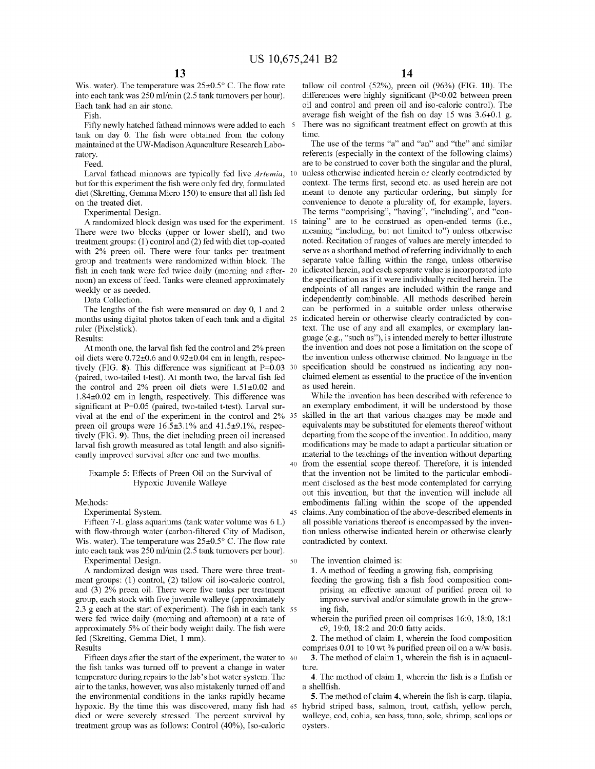Wis. water). The temperature was  $25\pm0.5^{\circ}$  C. The flow rate into each tank was 250 ml/min (2.5 tank turnovers per hour). Each tank had an air stone.

Fish.

Fifty newly hatched fathead minnows were added to each 5 tank on day 0. The fish were obtained from the colony maintained at the UW-Madison Aquaculture Research Laboratory.

Feed.

Larval fathead minnows are typically fed live *Artemia,*  but for this experiment the fish were only fed dry, formulated diet (Skretting, Gemma Micro 150) to ensure that all fish fed on the treated diet.

Experimental Design.

A randomized block design was used for the experiment. There were two blocks (upper or lower shelf), and two treatment groups: (1) control and (2) fed with diet top-coated with 2% preen oil. There were four tanks per treatment group and treatments were randomized within block. The fish in each tank were fed twice daily (morning and afternoon) an excess of feed. Tanks were cleaned approximately weekly or as needed.

Data Collection.

The lengths of the fish were measured on day 0, 1 and 2 months using digital photos taken of each tank and a digital ruler (Pixelstick).

Results:

At month one, the larval fish fed the control and 2% preen oil diets were 0.72±0.6 and 0.92±0.04 cm in length, respec- the invention unless otherwise claimed. No language in the tively (FIG. 8). This difference was significant at P=0.03 30 (paired, two-tailed t-test). At month two, the larval fish fed the control and 2% preen oil diets were  $1.51\pm0.02$  and 1.84±0.02 cm in length, respectively. This difference was significant at P=0.05 (paired, two-tailed t-test). Larval survival at the end of the experiment in the control and 2% 35 preen oil groups were  $16.5\pm3.1\%$  and  $41.5\pm9.1\%$ , respectively (FIG. **9).** Thus, the diet including preen oil increased larval fish growth measured as total length and also significantly improved survival after one and two months.

#### Example 5: Effects of Preen Oil on the Survival of Hypoxic Juvenile Walleye

#### Methods:

#### Experimental System.

Fifteen 7-L glass aquariums (tank water volume was 6 L) with flow-through water (carbon-filtered City of Madison, Wis. water). The temperature was  $25\pm0.5^{\circ}$  C. The flow rate into each tank was 250 ml/min (2.5 tank turnovers per hour). Experimental Design. 50

A randomized design was used. There were three treatment groups: (1) control, (2) tallow oil iso-caloric control, and (3) 2% preen oil. There were five tanks per treatment group, each stock with five juvenile walleye (approximately 2.3 g each at the start of experiment). The fish in each tank 55 were fed twice daily (morning and afternoon) at a rate of approximately 5% of their body weight daily. The fish were fed (Skretting, Gemma Diet, 1 mm).

Results

Fifteen days after the start of the experiment, the water to 60 the fish tanks was turned off to prevent a change in water temperature during repairs to the lab's hot water system. The air to the tanks, however, was also mistakenly turned off and the environmental conditions in the tanks rapidly became hypoxic. By the time this was discovered, many fish had 65 died or were severely stressed. The percent survival by treatment group was as follows: Control (40%), Iso-caloric

tallow oil control (52%), preen oil (96%) (FIG. **10).** The differences were highly significant (P<0.02 between preen oil and control and preen oil and iso-caloric control). The average fish weight of the fish on day 15 was 3.6+0.1 g. There was no significant treatment effect on growth at this time.

The use of the terms "a" and "an" and "the" and similar referents (especially in the context of the following claims) are to be construed to cover both the singular and the plural, unless otherwise indicated herein or clearly contradicted by context. The terms first, second etc. as used herein are not meant to denote any particular ordering, but simply for convenience to denote a plurality of, for example, layers. The terms "comprising", "having", "including", and "containing" are to be construed as open-ended terms (i.e., meaning "including, but not limited to") unless otherwise noted. Recitation of ranges of values are merely intended to serve as a shorthand method of referring individually to each separate value falling within the range, unless otherwise indicated herein, and each separate value is incorporated into the specification as if it were individually recited herein. The endpoints of all ranges are included within the range and independently combinable. All methods described herein can be performed in a suitable order unless otherwise indicated herein or otherwise clearly contradicted by context. The use of any and all examples, or exemplary language (e.g., "such as"), is intended merely to better illustrate the invention and does not pose a limitation on the scope of specification should be construed as indicating any nonclaimed element as essential to the practice of the invention as used herein.

While the invention has been described with reference to an exemplary embodiment, it will be understood by those skilled in the art that various changes may be made and equivalents may be substituted for elements thereof without departing from the scope of the invention. In addition, many modifications may be made to adapt a particular situation or material to the teachings of the invention without departing 40 from the essential scope thereof. Therefore, it is intended that the invention not be limited to the particular embodiment disclosed as the best mode contemplated for carrying out this invention, but that the invention will include all embodiments falling within the scope of the appended 45 claims. Any combination of the above-described elements in all possible variations thereof is encompassed by the invention unless otherwise indicated herein or otherwise clearly contradicted by context.

The invention claimed is:

**1.** A method of feeding a growing fish, comprising

- feeding the growing fish a fish food composition comprising an effective amount of purified preen oil to improve survival and/or stimulate growth in the growing fish,
- wherein the purified preen oil comprises 16:0, 18:0, 18:1 c9, 19:0, 18:2 and 20:0 fatty acids.

**2.** The method of claim **1,** wherein the food composition comprises 0.01 to 10 wt % purified preen oil on a w/w basis.

**3.** The method of claim **1,** wherein the fish is in aquaculture.

**4.** The method of claim **1,** wherein the fish is a finfish or a shellfish.

**5.** The method of claim **4,** wherein the fish is carp, tilapia, hybrid striped bass, salmon, trout, catfish, yellow perch, walleye, cod, cobia, sea bass, tuna, sole, shrimp, scallops or oysters.